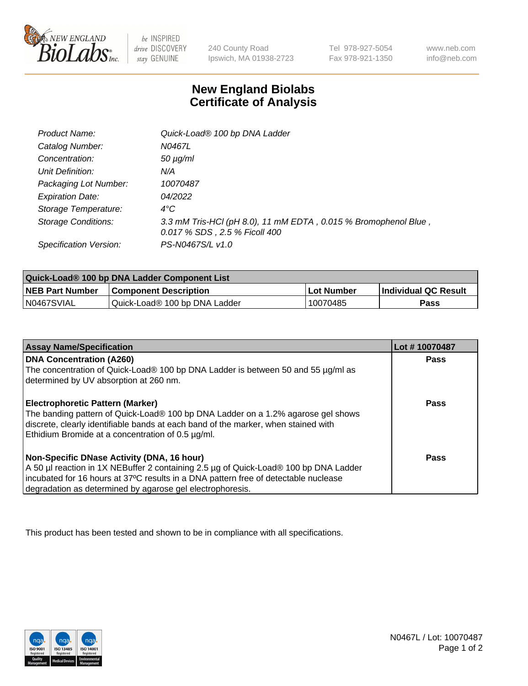

 $be$  INSPIRED drive DISCOVERY stay GENUINE

240 County Road Ipswich, MA 01938-2723 Tel 978-927-5054 Fax 978-921-1350 www.neb.com info@neb.com

## **New England Biolabs Certificate of Analysis**

| Product Name:              | Quick-Load® 100 bp DNA Ladder                                                                    |
|----------------------------|--------------------------------------------------------------------------------------------------|
| Catalog Number:            | N0467L                                                                                           |
| Concentration:             | <i>50 µg/ml</i>                                                                                  |
| Unit Definition:           | N/A                                                                                              |
| Packaging Lot Number:      | 10070487                                                                                         |
| <b>Expiration Date:</b>    | 04/2022                                                                                          |
| Storage Temperature:       | $4^{\circ}$ C                                                                                    |
| <b>Storage Conditions:</b> | 3.3 mM Tris-HCl (pH 8.0), 11 mM EDTA, 0.015 % Bromophenol Blue,<br>0.017 % SDS, 2.5 % Ficoll 400 |
| Specification Version:     | PS-N0467S/L v1.0                                                                                 |

| Quick-Load® 100 bp DNA Ladder Component List |                               |            |                             |  |
|----------------------------------------------|-------------------------------|------------|-----------------------------|--|
| <b>NEB Part Number</b>                       | <b>Component Description</b>  | Lot Number | <b>Individual QC Result</b> |  |
| N0467SVIAL                                   | Quick-Load® 100 bp DNA Ladder | 10070485   | Pass                        |  |

| <b>Assay Name/Specification</b>                                                                                                                                                                                                                                                        | Lot #10070487 |
|----------------------------------------------------------------------------------------------------------------------------------------------------------------------------------------------------------------------------------------------------------------------------------------|---------------|
| <b>DNA Concentration (A260)</b><br>The concentration of Quick-Load® 100 bp DNA Ladder is between 50 and 55 µg/ml as<br>determined by UV absorption at 260 nm.                                                                                                                          | <b>Pass</b>   |
| <b>Electrophoretic Pattern (Marker)</b><br>The banding pattern of Quick-Load® 100 bp DNA Ladder on a 1.2% agarose gel shows<br>discrete, clearly identifiable bands at each band of the marker, when stained with<br>Ethidium Bromide at a concentration of 0.5 µg/ml.                 | Pass          |
| Non-Specific DNase Activity (DNA, 16 hour)<br>A 50 µl reaction in 1X NEBuffer 2 containing 2.5 µg of Quick-Load® 100 bp DNA Ladder<br>incubated for 16 hours at 37°C results in a DNA pattern free of detectable nuclease<br>degradation as determined by agarose gel electrophoresis. | Pass          |

This product has been tested and shown to be in compliance with all specifications.